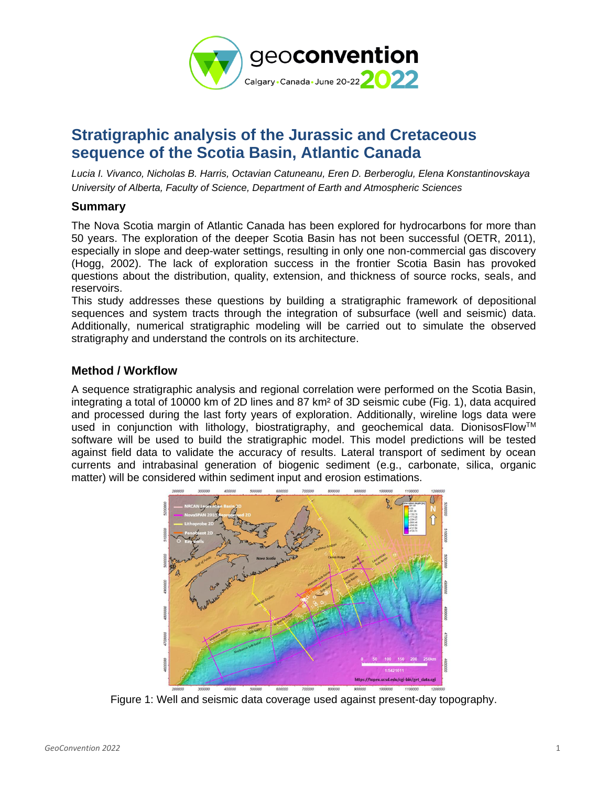

# **Stratigraphic analysis of the Jurassic and Cretaceous sequence of the Scotia Basin, Atlantic Canada**

*Lucia I. Vivanco, Nicholas B. Harris, Octavian Catuneanu, Eren D. Berberoglu, Elena Konstantinovskaya University of Alberta, Faculty of Science, Department of Earth and Atmospheric Sciences* 

### **Summary**

The Nova Scotia margin of Atlantic Canada has been explored for hydrocarbons for more than 50 years. The exploration of the deeper Scotia Basin has not been successful (OETR, 2011), especially in slope and deep-water settings, resulting in only one non-commercial gas discovery (Hogg, 2002). The lack of exploration success in the frontier Scotia Basin has provoked questions about the distribution, quality, extension, and thickness of source rocks, seals, and reservoirs.

This study addresses these questions by building a stratigraphic framework of depositional sequences and system tracts through the integration of subsurface (well and seismic) data. Additionally, numerical stratigraphic modeling will be carried out to simulate the observed stratigraphy and understand the controls on its architecture.

## **Method / Workflow**

A sequence stratigraphic analysis and regional correlation were performed on the Scotia Basin, integrating a total of 10000 km of 2D lines and 87 km² of 3D seismic cube (Fig. 1), data acquired and processed during the last forty years of exploration. Additionally, wireline logs data were used in conjunction with lithology, biostratigraphy, and geochemical data. DionisosFlow<sup>™</sup> software will be used to build the stratigraphic model. This model predictions will be tested against field data to validate the accuracy of results. Lateral transport of sediment by ocean currents and intrabasinal generation of biogenic sediment (e.g., carbonate, silica, organic matter) will be considered within sediment input and erosion estimations.



Figure 1: Well and seismic data coverage used against present-day topography.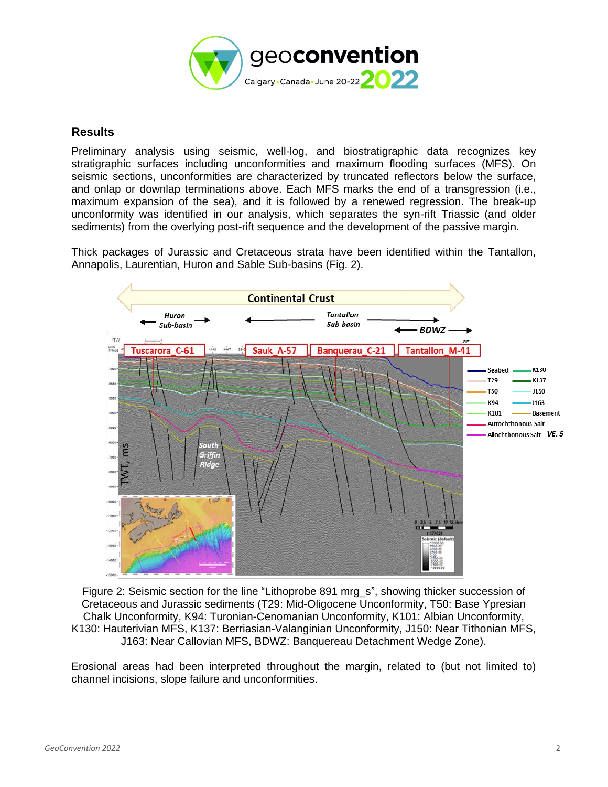

### **Results**

Preliminary analysis using seismic, well-log, and biostratigraphic data recognizes key stratigraphic surfaces including unconformities and maximum flooding surfaces (MFS). On seismic sections, unconformities are characterized by truncated reflectors below the surface, and onlap or downlap terminations above. Each MFS marks the end of a transgression (i.e., maximum expansion of the sea), and it is followed by a renewed regression. The break-up unconformity was identified in our analysis, which separates the syn-rift Triassic (and older sediments) from the overlying post-rift sequence and the development of the passive margin.

Thick packages of Jurassic and Cretaceous strata have been identified within the Tantallon, Annapolis, Laurentian, Huron and Sable Sub-basins (Fig. 2).



Figure 2: Seismic section for the line "Lithoprobe 891 mrg\_s", showing thicker succession of Cretaceous and Jurassic sediments (T29: Mid-Oligocene Unconformity, T50: Base Ypresian Chalk Unconformity, K94: Turonian-Cenomanian Unconformity, K101: Albian Unconformity, K130: Hauterivian MFS, K137: Berriasian-Valanginian Unconformity, J150: Near Tithonian MFS, J163: Near Callovian MFS, BDWZ: Banquereau Detachment Wedge Zone).

Erosional areas had been interpreted throughout the margin, related to (but not limited to) channel incisions, slope failure and unconformities.